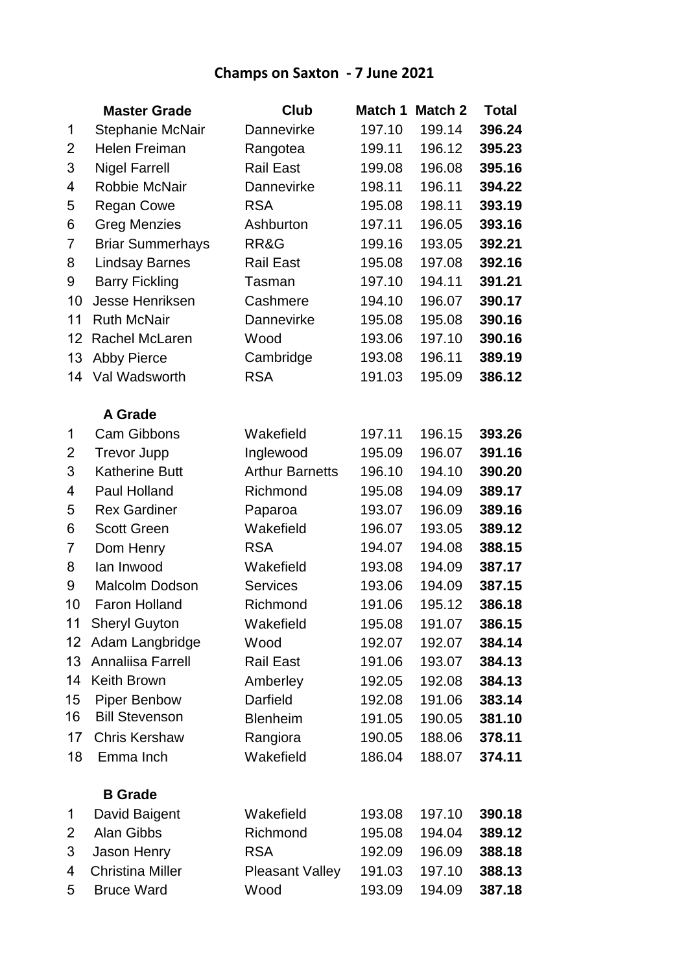## **Champs on Saxton - 7 June 2021**

|                | <b>Master Grade</b>     | <b>Club</b>            | Match 1 | <b>Match 2</b> | <b>Total</b> |
|----------------|-------------------------|------------------------|---------|----------------|--------------|
| 1              | Stephanie McNair        | Dannevirke             | 197.10  | 199.14         | 396.24       |
| $\overline{2}$ | Helen Freiman           | Rangotea               | 199.11  | 196.12         | 395.23       |
| 3              | <b>Nigel Farrell</b>    | <b>Rail East</b>       | 199.08  | 196.08         | 395.16       |
| 4              | Robbie McNair           | Dannevirke             | 198.11  | 196.11         | 394.22       |
| 5              | <b>Regan Cowe</b>       | <b>RSA</b>             | 195.08  | 198.11         | 393.19       |
| 6              | <b>Greg Menzies</b>     | Ashburton              | 197.11  | 196.05         | 393.16       |
| 7              | <b>Briar Summerhays</b> | RR&G                   | 199.16  | 193.05         | 392.21       |
| 8              | <b>Lindsay Barnes</b>   | <b>Rail East</b>       | 195.08  | 197.08         | 392.16       |
| 9              | <b>Barry Fickling</b>   | Tasman                 | 197.10  | 194.11         | 391.21       |
| 10             | Jesse Henriksen         | Cashmere               | 194.10  | 196.07         | 390.17       |
| 11             | <b>Ruth McNair</b>      | Dannevirke             | 195.08  | 195.08         | 390.16       |
| 12             | Rachel McLaren          | Wood                   | 193.06  | 197.10         | 390.16       |
| 13             | <b>Abby Pierce</b>      | Cambridge              | 193.08  | 196.11         | 389.19       |
| 14             | Val Wadsworth           | <b>RSA</b>             | 191.03  | 195.09         | 386.12       |
|                | <b>A Grade</b>          |                        |         |                |              |
| 1              | <b>Cam Gibbons</b>      | Wakefield              | 197.11  | 196.15         | 393.26       |
| 2              | <b>Trevor Jupp</b>      | Inglewood              | 195.09  | 196.07         | 391.16       |
| 3              | <b>Katherine Butt</b>   | <b>Arthur Barnetts</b> | 196.10  | 194.10         | 390.20       |
| 4              | Paul Holland            | Richmond               | 195.08  | 194.09         | 389.17       |
| 5              | <b>Rex Gardiner</b>     | Paparoa                | 193.07  | 196.09         | 389.16       |
| 6              | <b>Scott Green</b>      | Wakefield              | 196.07  | 193.05         | 389.12       |
| 7              | Dom Henry               | <b>RSA</b>             | 194.07  | 194.08         | 388.15       |
| 8              | lan Inwood              | Wakefield              | 193.08  | 194.09         | 387.17       |
| 9              | Malcolm Dodson          | <b>Services</b>        | 193.06  | 194.09         | 387.15       |
| 10             | <b>Faron Holland</b>    | Richmond               | 191.06  | 195.12         | 386.18       |
| 11             | <b>Sheryl Guyton</b>    | Wakefield              | 195.08  | 191.07         | 386.15       |
| 12             | Adam Langbridge         | Wood                   | 192.07  | 192.07         | 384.14       |
| 13             | Annaliisa Farrell       | <b>Rail East</b>       | 191.06  | 193.07         | 384.13       |
| 14             | <b>Keith Brown</b>      | Amberley               | 192.05  | 192.08         | 384.13       |
| 15             | <b>Piper Benbow</b>     | Darfield               | 192.08  | 191.06         | 383.14       |
| 16             | <b>Bill Stevenson</b>   | <b>Blenheim</b>        | 191.05  | 190.05         | 381.10       |
| 17             | <b>Chris Kershaw</b>    | Rangiora               | 190.05  | 188.06         | 378.11       |
| 18             | Emma Inch               | Wakefield              | 186.04  | 188.07         | 374.11       |
|                | <b>B</b> Grade          |                        |         |                |              |
| 1              | David Baigent           | Wakefield              | 193.08  | 197.10         | 390.18       |
| 2              | Alan Gibbs              | Richmond               | 195.08  | 194.04         | 389.12       |
| 3              | Jason Henry             | <b>RSA</b>             | 192.09  | 196.09         | 388.18       |
| 4              | <b>Christina Miller</b> | <b>Pleasant Valley</b> | 191.03  | 197.10         | 388.13       |
| 5              | <b>Bruce Ward</b>       | Wood                   | 193.09  | 194.09         | 387.18       |